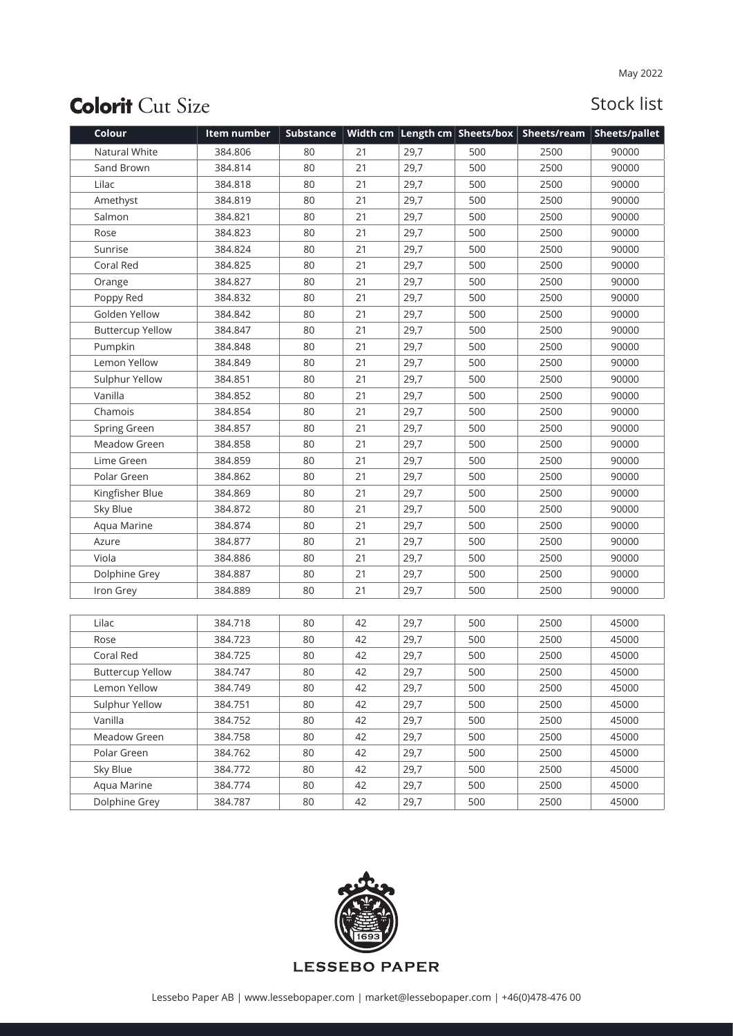## **Colorit Cut Size**

## Stock list

| Colour                  | Item number | <b>Substance</b> |    |      |     |      | Width cm   Length cm   Sheets/box   Sheets/ream   Sheets/pallet |
|-------------------------|-------------|------------------|----|------|-----|------|-----------------------------------------------------------------|
| Natural White           | 384.806     | 80               | 21 | 29,7 | 500 | 2500 | 90000                                                           |
| Sand Brown              | 384.814     | 80               | 21 | 29,7 | 500 | 2500 | 90000                                                           |
| Lilac                   | 384.818     | 80               | 21 | 29,7 | 500 | 2500 | 90000                                                           |
| Amethyst                | 384.819     | 80               | 21 | 29,7 | 500 | 2500 | 90000                                                           |
| Salmon                  | 384.821     | 80               | 21 | 29,7 | 500 | 2500 | 90000                                                           |
| Rose                    | 384.823     | 80               | 21 | 29,7 | 500 | 2500 | 90000                                                           |
| Sunrise                 | 384.824     | 80               | 21 | 29,7 | 500 | 2500 | 90000                                                           |
| Coral Red               | 384.825     | 80               | 21 | 29,7 | 500 | 2500 | 90000                                                           |
| Orange                  | 384.827     | 80               | 21 | 29,7 | 500 | 2500 | 90000                                                           |
| Poppy Red               | 384.832     | 80               | 21 | 29,7 | 500 | 2500 | 90000                                                           |
| Golden Yellow           | 384.842     | 80               | 21 | 29,7 | 500 | 2500 | 90000                                                           |
| <b>Buttercup Yellow</b> | 384.847     | 80               | 21 | 29,7 | 500 | 2500 | 90000                                                           |
| Pumpkin                 | 384.848     | 80               | 21 | 29,7 | 500 | 2500 | 90000                                                           |
| Lemon Yellow            | 384.849     | 80               | 21 | 29,7 | 500 | 2500 | 90000                                                           |
| Sulphur Yellow          | 384.851     | 80               | 21 | 29,7 | 500 | 2500 | 90000                                                           |
| Vanilla                 | 384.852     | 80               | 21 | 29,7 | 500 | 2500 | 90000                                                           |
| Chamois                 | 384.854     | 80               | 21 | 29,7 | 500 | 2500 | 90000                                                           |
| Spring Green            | 384.857     | 80               | 21 | 29,7 | 500 | 2500 | 90000                                                           |
| Meadow Green            | 384.858     | 80               | 21 | 29,7 | 500 | 2500 | 90000                                                           |
| Lime Green              | 384.859     | 80               | 21 | 29,7 | 500 | 2500 | 90000                                                           |
| Polar Green             | 384.862     | 80               | 21 | 29,7 | 500 | 2500 | 90000                                                           |
| Kingfisher Blue         | 384.869     | 80               | 21 | 29,7 | 500 | 2500 | 90000                                                           |
| Sky Blue                | 384.872     | 80               | 21 | 29,7 | 500 | 2500 | 90000                                                           |
| Aqua Marine             | 384.874     | 80               | 21 | 29,7 | 500 | 2500 | 90000                                                           |
| Azure                   | 384.877     | 80               | 21 | 29,7 | 500 | 2500 | 90000                                                           |
| Viola                   | 384.886     | 80               | 21 | 29,7 | 500 | 2500 | 90000                                                           |
| Dolphine Grey           | 384.887     | 80               | 21 | 29,7 | 500 | 2500 | 90000                                                           |
| Iron Grey               | 384.889     | 80               | 21 | 29,7 | 500 | 2500 | 90000                                                           |
|                         |             |                  |    |      |     |      |                                                                 |
| Lilac                   | 384.718     | 80               | 42 | 29,7 | 500 | 2500 | 45000                                                           |
| Rose                    | 384.723     | 80               | 42 | 29,7 | 500 | 2500 | 45000                                                           |
| Coral Red               | 384.725     | 80               | 42 | 29,7 | 500 | 2500 | 45000                                                           |
| <b>Buttercup Yellow</b> | 384.747     | 80               | 42 | 29,7 | 500 | 2500 | 45000                                                           |
| Lemon Yellow            | 384.749     | 80               | 42 | 29,7 | 500 | 2500 | 45000                                                           |
| Sulphur Yellow          | 384.751     | 80               | 42 | 29,7 | 500 | 2500 | 45000                                                           |
| Vanilla                 | 384.752     | 80               | 42 | 29,7 | 500 | 2500 | 45000                                                           |
| Meadow Green            | 384.758     | 80               | 42 | 29,7 | 500 | 2500 | 45000                                                           |
| Polar Green             | 384.762     | 80               | 42 | 29,7 | 500 | 2500 | 45000                                                           |
| Sky Blue                | 384.772     | 80               | 42 | 29,7 | 500 | 2500 | 45000                                                           |
| Aqua Marine             | 384.774     | 80               | 42 | 29,7 | 500 | 2500 | 45000                                                           |
| Dolphine Grey           | 384.787     | 80               | 42 | 29,7 | 500 | 2500 | 45000                                                           |